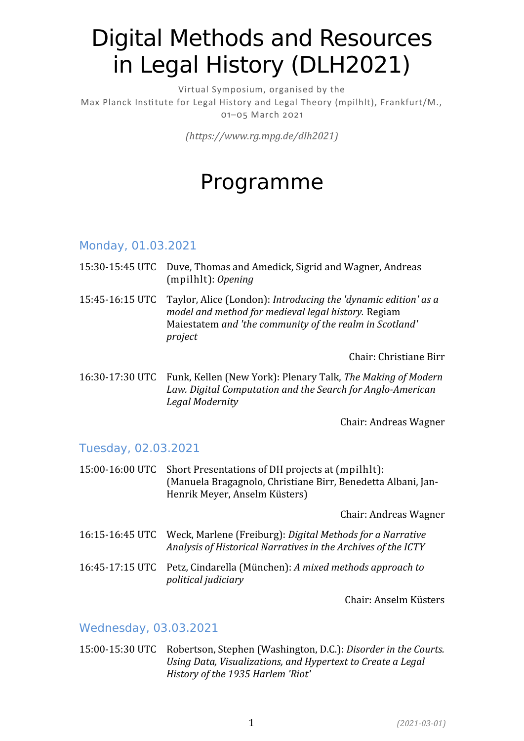# Digital Methods and Resources in Legal History (DLH2021)

Virtual Symposium, organised by the Max Planck Institute for Legal History and Legal Theory (mpilhlt), Frankfurt/M., 01–05 March 2021

*(https://www.rg.mpg.de/dlh2021)*

# Programme

### Monday, 01.03.2021

- 15:30-15:45 UTC Duve, Thomas and Amedick, Sigrid and Wagner, Andreas (mpilhlt): *Opening*
- 15:45-16:15 UTC Taylor, Alice (London): *Introducing the 'dynamic edition' as a model and method for medieval legal history.* Regiam Maiestatem *and 'the community of the realm in Scotland' project*

Chair: Christiane Birr

16:30-17:30 UTC Funk, Kellen (New York): Plenary Talk, *The Making of Modern Law. Digital Computation and the Search for Anglo-American Legal Modernity*

Chair: Andreas Wagner

# Tuesday, 02.03.2021

15:00-16:00 UTC Short Presentations of DH projects at (mpilhlt): (Manuela Bragagnolo, Christiane Birr, Benedetta Albani, Jan-Henrik Meyer, Anselm Küsters)

Chair: Andreas Wagner

- 16:15-16:45 UTC Weck, Marlene (Freiburg): *Digital Methods for a Narrative Analysis of Historical Narratives in the Archives of the ICTY*
- 16:45-17:15 UTC Petz, Cindarella (München): *A mixed methods approach to political judiciary*

Chair: Anselm Küsters

# Wednesday, 03.03.2021

15:00-15:30 UTC Robertson, Stephen (Washington, D.C.): *Disorder in the Courts. Using Data, Visualizations, and Hypertext to Create a Legal History of the 1935 Harlem 'Riot'*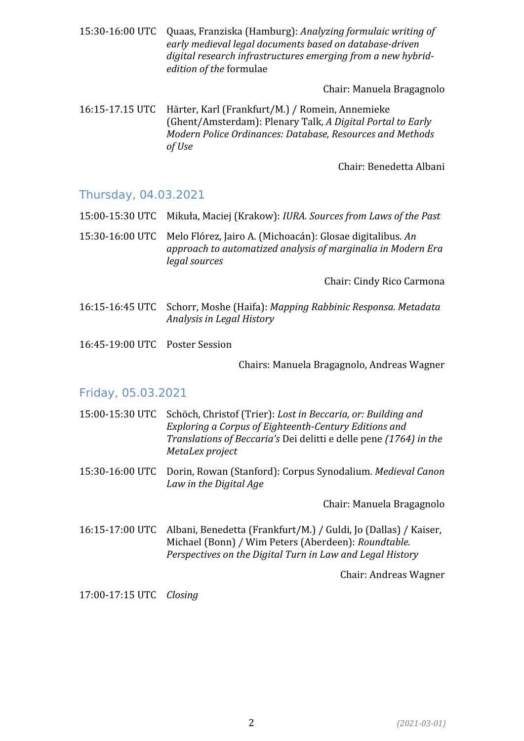15:30-16:00 UTC Quaas, Franziska (Hamburg): *Analyzing formulaic writing of early medieval legal documents based on database-driven digital research infrastructures emerging from a new hybridedition of the* formulae

Chair: Manuela Bragagnolo

16:15-17.15 UTC Härter, Karl (Frankfurt/M.) / Romein, Annemieke (Ghent/Amsterdam): Plenary Talk, *A Digital Portal to Early Modern Police Ordinances: Database, Resources and Methods of Use*

Chair: Benedetta Albani

#### Thursday, 04.03.2021

- 15:00-15:30 UTC Mikuła, Maciej (Krakow): *IURA. Sources from Laws of the Past*
- 15:30-16:00 UTC Melo Flórez, Jairo A. (Michoacán): Glosae digitalibus*. An approach to automatized analysis of marginalia in Modern Era legal sources*

Chair: Cindy Rico Carmona

- 16:15-16:45 UTC Schorr, Moshe (Haifa): *Mapping Rabbinic Responsa. Metadata Analysis in Legal History*
- 16:45-19:00 UTC Poster Session

Chairs: Manuela Bragagnolo, Andreas Wagner

#### Friday, 05.03.2021

| 15:00-15:30 UTC                                      | Schöch, Christof (Trier): Lost in Beccaria, or: Building and<br>Exploring a Corpus of Eighteenth-Century Editions and<br>Translations of Beccaria's Dei delitti e delle pene (1764) in the<br>MetaLex project |
|------------------------------------------------------|---------------------------------------------------------------------------------------------------------------------------------------------------------------------------------------------------------------|
|                                                      | 15:30-16:00 UTC Dorin, Rowan (Stanford): Corpus Synodalium. Medieval Canon<br>Law in the Digital Age                                                                                                          |
|                                                      | Chair: Manuela Bragagnolo                                                                                                                                                                                     |
| 1 $\ell$ 1 $\Gamma$ 1 $\sigma$ 0 $\Omega$ 1 $\Gamma$ | Albem: Denadette (Enankfurt (M) (Culd: Le (Dellee) (Voicen                                                                                                                                                    |

16:15-17:00 UTC Albani, Benedetta (Frankfurt/M.) / Guldi, Jo (Dallas) / Kaiser, Michael (Bonn) / Wim Peters (Aberdeen): *Roundtable. Perspectives on the Digital Turn in Law and Legal History*

Chair: Andreas Wagner

17:00-17:15 UTC *Closing*